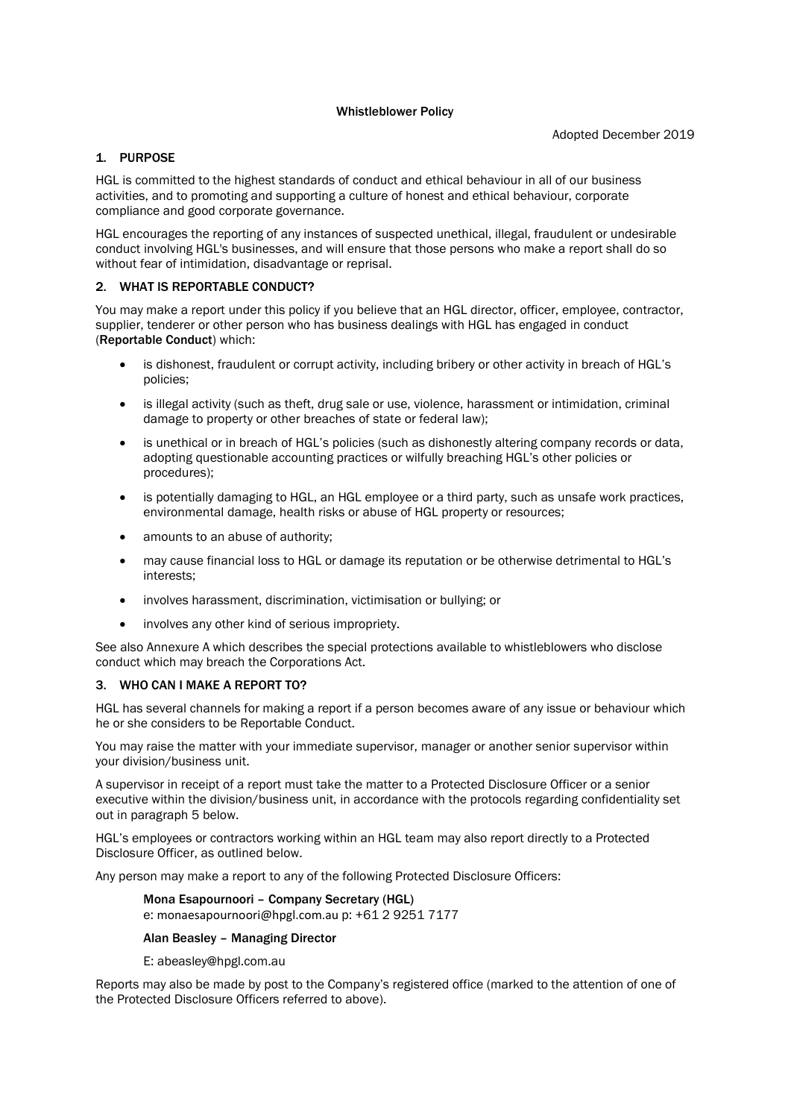### Whistleblower Policy

# 1. PURPOSE

HGL is committed to the highest standards of conduct and ethical behaviour in all of our business activities, and to promoting and supporting a culture of honest and ethical behaviour, corporate compliance and good corporate governance.

HGL encourages the reporting of any instances of suspected unethical, illegal, fraudulent or undesirable conduct involving HGL's businesses, and will ensure that those persons who make a report shall do so without fear of intimidation, disadvantage or reprisal.

# 2. WHAT IS REPORTABLE CONDUCT?

You may make a report under this policy if you believe that an HGL director, officer, employee, contractor, supplier, tenderer or other person who has business dealings with HGL has engaged in conduct (Reportable Conduct) which:

- is dishonest, fraudulent or corrupt activity, including bribery or other activity in breach of HGL's policies;
- is illegal activity (such as theft, drug sale or use, violence, harassment or intimidation, criminal damage to property or other breaches of state or federal law);
- is unethical or in breach of HGL's policies (such as dishonestly altering company records or data, adopting questionable accounting practices or wilfully breaching HGL's other policies or procedures);
- is potentially damaging to HGL, an HGL employee or a third party, such as unsafe work practices, environmental damage, health risks or abuse of HGL property or resources;
- amounts to an abuse of authority;
- may cause financial loss to HGL or damage its reputation or be otherwise detrimental to HGL's interests;
- involves harassment, discrimination, victimisation or bullying; or
- involves any other kind of serious impropriety.

See also Annexure A which describes the special protections available to whistleblowers who disclose conduct which may breach the Corporations Act.

## 3. WHO CAN I MAKE A REPORT TO?

HGL has several channels for making a report if a person becomes aware of any issue or behaviour which he or she considers to be Reportable Conduct.

You may raise the matter with your immediate supervisor, manager or another senior supervisor within your division/business unit.

A supervisor in receipt of a report must take the matter to a Protected Disclosure Officer or a senior executive within the division/business unit, in accordance with the protocols regarding confidentiality set out in paragraph 5 below.

HGL's employees or contractors working within an HGL team may also report directly to a Protected Disclosure Officer, as outlined below.

Any person may make a report to any of the following Protected Disclosure Officers:

## Mona Esapournoori – Company Secretary (HGL)

e: monaesapournoori@hpgl.com.au p: +61 2 9251 7177

# Alan Beasley – Managing Director

E: abeasley@hpgl.com.au

Reports may also be made by post to the Company's registered office (marked to the attention of one of the Protected Disclosure Officers referred to above).